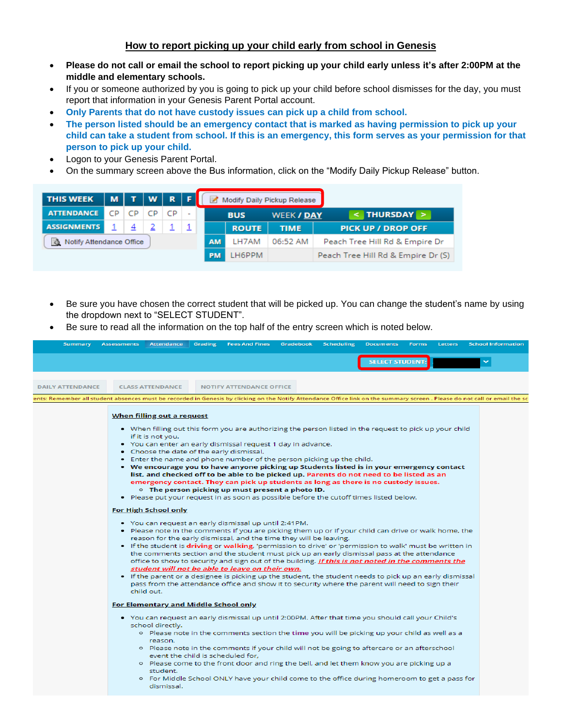## **How to report picking up your child early from school in Genesis**

- **Please do not call or email the school to report picking up your child early unless it's after 2:00PM at the middle and elementary schools.**
- If you or someone authorized by you is going to pick up your child before school dismisses for the day, you must report that information in your Genesis Parent Portal account.
- **Only Parents that do not have custody issues can pick up a child from school.**
- **The person listed should be an emergency contact that is marked as having permission to pick up your child can take a student from school. If this is an emergency, this form serves as your permission for that person to pick up your child.**
- Logon to your Genesis Parent Portal.
- On the summary screen above the Bus information, click on the "Modify Daily Pickup Release" button.

| <b>THIS WEEK</b>         |    |                | M T W R F |           |       |           |                                | Modify Daily Pickup Release |                                    |
|--------------------------|----|----------------|-----------|-----------|-------|-----------|--------------------------------|-----------------------------|------------------------------------|
| <b>ATTENDANCE</b>        | CP | CP             | CP        | CP        |       |           | <b>BUS</b>                     | <b>WEEK / DAY</b>           | THURSDAY >                         |
| <b>ASSIGNMENTS</b>       |    | $\overline{4}$ |           |           |       |           | <b>ROUTE</b>                   | <b>TIME</b>                 | <b>PICK UP / DROP OFF</b>          |
| Notify Attendance Office |    |                |           | <b>AM</b> | LH7AM | 06:52 AM  | Peach Tree Hill Rd & Empire Dr |                             |                                    |
|                          |    |                |           |           |       | <b>PM</b> | LH6PPM                         |                             | Peach Tree Hill Rd & Empire Dr (S) |

- Be sure you have chosen the correct student that will be picked up. You can change the student's name by using the dropdown next to "SELECT STUDENT".
- Be sure to read all the information on the top half of the entry screen which is noted below.

| <b>Summary</b>                                                                                                                                                             | <b>Assessments</b> | <b>Attendance</b>                                                                                                                  | <b>Grading</b> | <b>Fees And Fines</b>                                                                                                                                                                                                                                                                                                                                                                                                                                                                                                                                                                                                                                                                                                                                                                                                                                                                                                                                                                                                                    | <b>Gradebook</b> | <b>Scheduling</b> | <b>Documents</b>       | <b>Forms</b> | <b>Letters</b> | <b>School Information</b> |
|----------------------------------------------------------------------------------------------------------------------------------------------------------------------------|--------------------|------------------------------------------------------------------------------------------------------------------------------------|----------------|------------------------------------------------------------------------------------------------------------------------------------------------------------------------------------------------------------------------------------------------------------------------------------------------------------------------------------------------------------------------------------------------------------------------------------------------------------------------------------------------------------------------------------------------------------------------------------------------------------------------------------------------------------------------------------------------------------------------------------------------------------------------------------------------------------------------------------------------------------------------------------------------------------------------------------------------------------------------------------------------------------------------------------------|------------------|-------------------|------------------------|--------------|----------------|---------------------------|
|                                                                                                                                                                            |                    |                                                                                                                                    |                |                                                                                                                                                                                                                                                                                                                                                                                                                                                                                                                                                                                                                                                                                                                                                                                                                                                                                                                                                                                                                                          |                  |                   | <b>SELECT STUDENT:</b> |              |                |                           |
| <b>DAILY ATTENDANCE</b>                                                                                                                                                    |                    | <b>CLASS ATTENDANCE</b>                                                                                                            |                | <b>NOTIFY ATTENDANCE OFFICE</b>                                                                                                                                                                                                                                                                                                                                                                                                                                                                                                                                                                                                                                                                                                                                                                                                                                                                                                                                                                                                          |                  |                   |                        |              |                |                           |
| ents: Remember all student absences must be recorded in Genesis by clicking on the Notify Attendance Office link on the summary screen . Please do not call or email the s |                    |                                                                                                                                    |                |                                                                                                                                                                                                                                                                                                                                                                                                                                                                                                                                                                                                                                                                                                                                                                                                                                                                                                                                                                                                                                          |                  |                   |                        |              |                |                           |
|                                                                                                                                                                            |                    | <u>When filling out a request</u><br>if it is not you.<br>• Choose the date of the early dismissal.<br><b>For High School only</b> |                | • When filling out this form you are authorizing the person listed in the request to pick up your child<br>. You can enter an early dismissal request 1 day in advance.<br>• Enter the name and phone number of the person picking up the child.<br>• We encourage you to have anyone picking up Students listed is in your emergency contact<br>list, and checked off to be able to be picked up. Parents do not need to be listed as an<br>emergency contact. They can pick up students as long as there is no custody issues.<br>$\circ$ The person picking up must present a photo ID.<br>. Please put your request in as soon as possible before the cutoff times listed below.<br>. You can request an early dismissal up until 2:41PM.<br>. Please note in the comments if you are picking them up or if your child can drive or walk home, the<br>reason for the early dismissal, and the time they will be leaving.<br>. If the student is driving or walking, 'permission to drive' or 'permission to walk' must be written in |                  |                   |                        |              |                |                           |
|                                                                                                                                                                            |                    | child out.                                                                                                                         |                | the comments section and the student must pick up an early dismissal pass at the attendance<br>office to show to security and sign out of the building. If this is not noted in the comments the<br>student will not be able to leave on their own.<br>• If the parent or a designee is picking up the student, the student needs to pick up an early dismissal<br>pass from the attendance office and show it to security where the parent will need to sign their                                                                                                                                                                                                                                                                                                                                                                                                                                                                                                                                                                      |                  |                   |                        |              |                |                           |
|                                                                                                                                                                            |                    | <b>For Elementary and Middle School only</b>                                                                                       |                |                                                                                                                                                                                                                                                                                                                                                                                                                                                                                                                                                                                                                                                                                                                                                                                                                                                                                                                                                                                                                                          |                  |                   |                        |              |                |                           |
|                                                                                                                                                                            |                    | school directly.<br>reason.<br>event the child is scheduled for,<br>student.                                                       |                | • You can request an early dismissal up until 2:00PM. After that time you should call your Child's<br>o Please note in the comments section the time you will be picking up your child as well as a<br>o Please note in the comments if your child will not be going to aftercare or an afterschool<br>o Please come to the front door and ring the bell, and let them know you are picking up a<br>• For Middle School ONLY have your child come to the office during homeroom to get a pass for                                                                                                                                                                                                                                                                                                                                                                                                                                                                                                                                        |                  |                   |                        |              |                |                           |
|                                                                                                                                                                            |                    | dismissal.                                                                                                                         |                |                                                                                                                                                                                                                                                                                                                                                                                                                                                                                                                                                                                                                                                                                                                                                                                                                                                                                                                                                                                                                                          |                  |                   |                        |              |                |                           |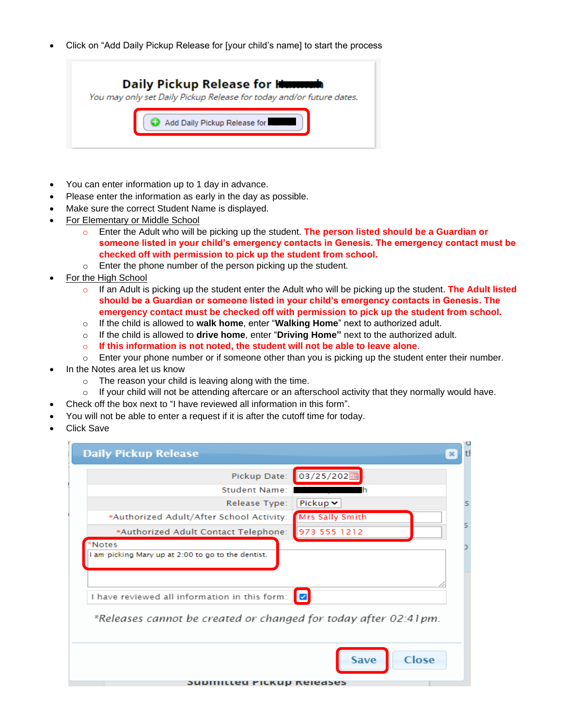• Click on "Add Daily Pickup Release for [your child's name] to start the process



- You can enter information up to 1 day in advance.
- Please enter the information as early in the day as possible.
- Make sure the correct Student Name is displayed.
- For Elementary or Middle School
	- o Enter the Adult who will be picking up the student. **The person listed should be a Guardian or someone listed in your child's emergency contacts in Genesis. The emergency contact must be checked off with permission to pick up the student from school.**
	- o Enter the phone number of the person picking up the student.
- For the High School
	- o If an Adult is picking up the student enter the Adult who will be picking up the student. **The Adult listed should be a Guardian or someone listed in your child's emergency contacts in Genesis. The emergency contact must be checked off with permission to pick up the student from school.**
	- o If the child is allowed to **walk home**, enter "**Walking Home**" next to authorized adult.
	- o If the child is allowed to **drive home**, enter "**Driving Home"** next to the authorized adult.
	- o **If this information is not noted, the student will not be able to leave alone**.
	- $\circ$  Enter your phone number or if someone other than you is picking up the student enter their number.
- In the Notes area let us know
	- o The reason your child is leaving along with the time.
	- $\circ$  If your child will not be attending aftercare or an afterschool activity that they normally would have.
	- Check off the box next to "I have reviewed all information in this form".
- You will not be able to enter a request if it is after the cutoff time for today.
- Click Save

| <b>Daily Pickup Release</b>                                                                                                                                                           |   |
|---------------------------------------------------------------------------------------------------------------------------------------------------------------------------------------|---|
| 03/25/202<br>Pickup Date:                                                                                                                                                             |   |
| <b>Student Name:</b>                                                                                                                                                                  |   |
| Pickup $\vee$<br>Release Type:                                                                                                                                                        | s |
| <b>Mrs Sally Smith</b><br>*Authorized Adult/After School Activity:                                                                                                                    |   |
| 973 555 1212<br>*Authorized Adult Contact Telephone:                                                                                                                                  |   |
| *Notes<br>I am picking Mary up at 2:00 to go to the dentist.<br>I have reviewed all information in this form:<br>∎<br>*Releases cannot be created or changed for today after 02:41pm. |   |
| Close<br>Save<br><b>SUDINILLED PICKUP REJEASES</b>                                                                                                                                    |   |